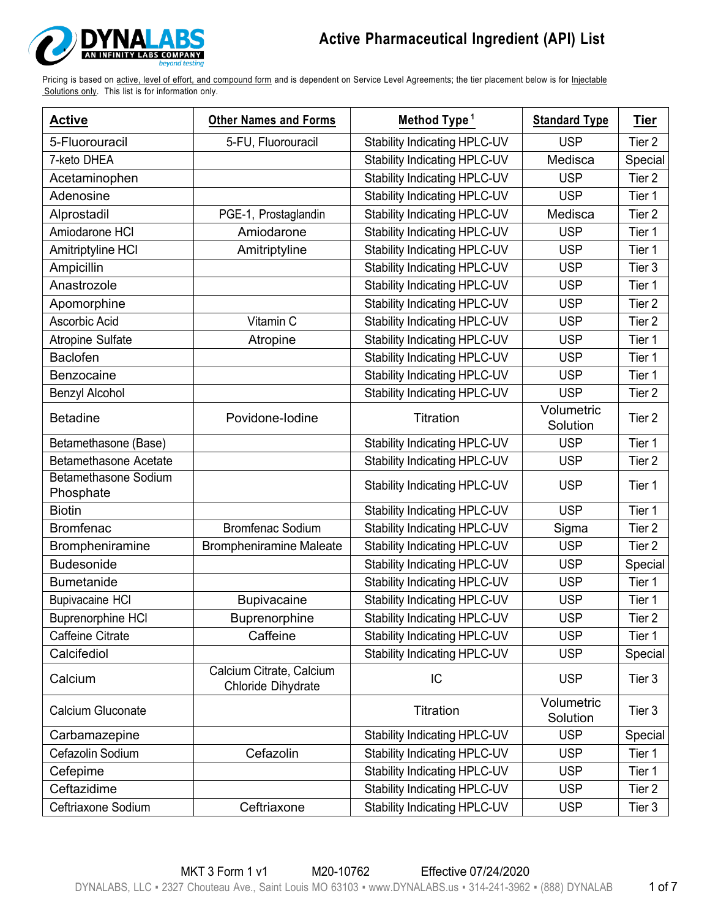

| <b>Active</b>                     | <b>Other Names and Forms</b>                   | Method Type <sup>1</sup>            | <b>Standard Type</b>   | Tier              |
|-----------------------------------|------------------------------------------------|-------------------------------------|------------------------|-------------------|
| 5-Fluorouracil                    | 5-FU, Fluorouracil                             | <b>Stability Indicating HPLC-UV</b> | <b>USP</b>             | Tier 2            |
| 7-keto DHEA                       |                                                | <b>Stability Indicating HPLC-UV</b> | Medisca                | Special           |
| Acetaminophen                     |                                                | Stability Indicating HPLC-UV        | <b>USP</b>             | Tier <sub>2</sub> |
| Adenosine                         |                                                | Stability Indicating HPLC-UV        | <b>USP</b>             | Tier 1            |
| Alprostadil                       | PGE-1, Prostaglandin                           | Stability Indicating HPLC-UV        | Medisca                | Tier 2            |
| Amiodarone HCI                    | Amiodarone                                     | <b>Stability Indicating HPLC-UV</b> | <b>USP</b>             | Tier 1            |
| Amitriptyline HCI                 | Amitriptyline                                  | <b>Stability Indicating HPLC-UV</b> | <b>USP</b>             | Tier 1            |
| Ampicillin                        |                                                | Stability Indicating HPLC-UV        | <b>USP</b>             | Tier 3            |
| Anastrozole                       |                                                | Stability Indicating HPLC-UV        | <b>USP</b>             | Tier 1            |
| Apomorphine                       |                                                | Stability Indicating HPLC-UV        | <b>USP</b>             | Tier 2            |
| Ascorbic Acid                     | Vitamin C                                      | Stability Indicating HPLC-UV        | <b>USP</b>             | Tier <sub>2</sub> |
| <b>Atropine Sulfate</b>           | Atropine                                       | Stability Indicating HPLC-UV        | <b>USP</b>             | Tier 1            |
| Baclofen                          |                                                | Stability Indicating HPLC-UV        | <b>USP</b>             | Tier 1            |
| Benzocaine                        |                                                | <b>Stability Indicating HPLC-UV</b> | <b>USP</b>             | Tier 1            |
| Benzyl Alcohol                    |                                                | Stability Indicating HPLC-UV        | <b>USP</b>             | Tier 2            |
| <b>Betadine</b>                   | Povidone-lodine                                | Titration                           | Volumetric<br>Solution | Tier <sub>2</sub> |
| Betamethasone (Base)              |                                                | Stability Indicating HPLC-UV        | <b>USP</b>             | Tier 1            |
| <b>Betamethasone Acetate</b>      |                                                | <b>Stability Indicating HPLC-UV</b> | <b>USP</b>             | Tier <sub>2</sub> |
| Betamethasone Sodium<br>Phosphate |                                                | Stability Indicating HPLC-UV        | <b>USP</b>             | Tier 1            |
| <b>Biotin</b>                     |                                                | Stability Indicating HPLC-UV        | <b>USP</b>             | Tier 1            |
| <b>Bromfenac</b>                  | <b>Bromfenac Sodium</b>                        | Stability Indicating HPLC-UV        | Sigma                  | Tier 2            |
| Brompheniramine                   | <b>Brompheniramine Maleate</b>                 | Stability Indicating HPLC-UV        | <b>USP</b>             | Tier 2            |
| <b>Budesonide</b>                 |                                                | Stability Indicating HPLC-UV        | <b>USP</b>             | Special           |
| <b>Bumetanide</b>                 |                                                | Stability Indicating HPLC-UV        | <b>USP</b>             | Tier 1            |
| <b>Bupivacaine HCI</b>            | Bupivacaine                                    | Stability Indicating HPLC-UV        | <b>USP</b>             | Tier 1            |
| <b>Buprenorphine HCI</b>          | Buprenorphine                                  | <b>Stability Indicating HPLC-UV</b> | <b>USP</b>             | Tier 2            |
| Caffeine Citrate                  | Caffeine                                       | <b>Stability Indicating HPLC-UV</b> | <b>USP</b>             | Tier 1            |
| Calcifediol                       |                                                | <b>Stability Indicating HPLC-UV</b> | <b>USP</b>             | Special           |
| Calcium                           | Calcium Citrate, Calcium<br>Chloride Dihydrate | IC                                  | <b>USP</b>             | Tier 3            |
| Calcium Gluconate                 |                                                | Titration                           | Volumetric<br>Solution | Tier 3            |
| Carbamazepine                     |                                                | Stability Indicating HPLC-UV        | <b>USP</b>             | Special           |
| Cefazolin Sodium                  | Cefazolin                                      | <b>Stability Indicating HPLC-UV</b> | <b>USP</b>             | Tier 1            |
| Cefepime                          |                                                | <b>Stability Indicating HPLC-UV</b> | <b>USP</b>             | Tier 1            |
| Ceftazidime                       |                                                | <b>Stability Indicating HPLC-UV</b> | <b>USP</b>             | Tier 2            |
| Ceftriaxone Sodium                | Ceftriaxone                                    | Stability Indicating HPLC-UV        | <b>USP</b>             | Tier 3            |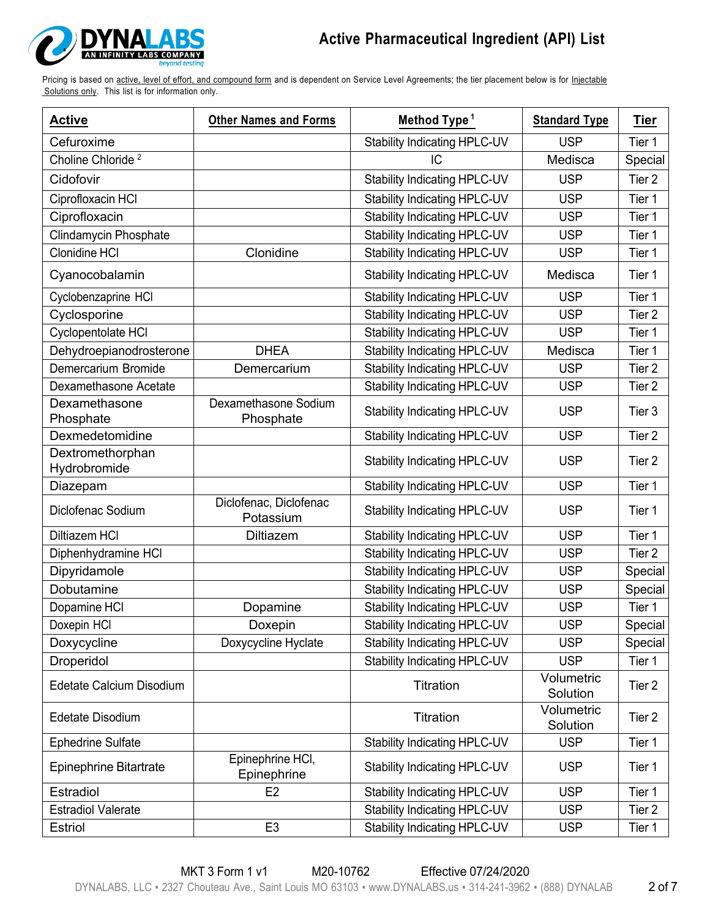

| <b>Active</b>                    | <b>Other Names and Forms</b>        | Method Type <sup>1</sup>            | <b>Standard Type</b>   | <u>Tier</u>       |
|----------------------------------|-------------------------------------|-------------------------------------|------------------------|-------------------|
| Cefuroxime                       |                                     | <b>Stability Indicating HPLC-UV</b> | <b>USP</b>             | Tier 1            |
| Choline Chloride <sup>2</sup>    |                                     | IC                                  | Medisca                | Special           |
| Cidofovir                        |                                     | Stability Indicating HPLC-UV        | <b>USP</b>             | Tier 2            |
| Ciprofloxacin HCI                |                                     | Stability Indicating HPLC-UV        | <b>USP</b>             | Tier 1            |
| Ciprofloxacin                    |                                     | Stability Indicating HPLC-UV        | <b>USP</b>             | Tier 1            |
| Clindamycin Phosphate            |                                     | <b>Stability Indicating HPLC-UV</b> | <b>USP</b>             | Tier 1            |
| <b>Clonidine HCI</b>             | Clonidine                           | <b>Stability Indicating HPLC-UV</b> | <b>USP</b>             | Tier 1            |
| Cyanocobalamin                   |                                     | <b>Stability Indicating HPLC-UV</b> | Medisca                | Tier 1            |
| Cyclobenzaprine HCI              |                                     | Stability Indicating HPLC-UV        | <b>USP</b>             | Tier 1            |
| Cyclosporine                     |                                     | Stability Indicating HPLC-UV        | <b>USP</b>             | Tier <sub>2</sub> |
| Cyclopentolate HCI               |                                     | <b>Stability Indicating HPLC-UV</b> | <b>USP</b>             | Tier 1            |
| Dehydroepianodrosterone          | <b>DHEA</b>                         | <b>Stability Indicating HPLC-UV</b> | Medisca                | Tier 1            |
| Demercarium Bromide              | Demercarium                         | Stability Indicating HPLC-UV        | <b>USP</b>             | Tier 2            |
| Dexamethasone Acetate            |                                     | <b>Stability Indicating HPLC-UV</b> | <b>USP</b>             | Tier <sub>2</sub> |
| Dexamethasone<br>Phosphate       | Dexamethasone Sodium<br>Phosphate   | <b>Stability Indicating HPLC-UV</b> | <b>USP</b>             | Tier 3            |
| Dexmedetomidine                  |                                     | Stability Indicating HPLC-UV        | <b>USP</b>             | Tier 2            |
| Dextromethorphan<br>Hydrobromide |                                     | <b>Stability Indicating HPLC-UV</b> | <b>USP</b>             | Tier <sub>2</sub> |
| Diazepam                         |                                     | <b>Stability Indicating HPLC-UV</b> | <b>USP</b>             | Tier 1            |
| Diclofenac Sodium                | Diclofenac, Diclofenac<br>Potassium | <b>Stability Indicating HPLC-UV</b> | <b>USP</b>             | Tier 1            |
| Diltiazem HCI                    | <b>Diltiazem</b>                    | Stability Indicating HPLC-UV        | <b>USP</b>             | Tier 1            |
| Diphenhydramine HCI              |                                     | Stability Indicating HPLC-UV        | <b>USP</b>             | Tier <sub>2</sub> |
| Dipyridamole                     |                                     | Stability Indicating HPLC-UV        | <b>USP</b>             | Special           |
| Dobutamine                       |                                     | Stability Indicating HPLC-UV        | <b>USP</b>             | Special           |
| Dopamine HCI                     | Dopamine                            | Stability Indicating HPLC-UV        | <b>USP</b>             | Tier 1            |
| Doxepin HCI                      | Doxepin                             | Stability Indicating HPLC-UV        | <b>USP</b>             | Special           |
| Doxycycline                      | Doxycycline Hyclate                 | Stability Indicating HPLC-UV        | <b>USP</b>             | Special           |
| Droperidol                       |                                     | <b>Stability Indicating HPLC-UV</b> | <b>USP</b>             | Tier 1            |
| Edetate Calcium Disodium         |                                     | Titration                           | Volumetric<br>Solution | Tier <sub>2</sub> |
| <b>Edetate Disodium</b>          |                                     | Titration                           | Volumetric<br>Solution | Tier 2            |
| <b>Ephedrine Sulfate</b>         |                                     | Stability Indicating HPLC-UV        | <b>USP</b>             | Tier 1            |
| Epinephrine Bitartrate           | Epinephrine HCI,<br>Epinephrine     | <b>Stability Indicating HPLC-UV</b> | <b>USP</b>             | Tier 1            |
| Estradiol                        | E <sub>2</sub>                      | <b>Stability Indicating HPLC-UV</b> | <b>USP</b>             | Tier 1            |
| <b>Estradiol Valerate</b>        |                                     | <b>Stability Indicating HPLC-UV</b> | <b>USP</b>             | Tier 2            |
| <b>Estriol</b>                   | E <sub>3</sub>                      | <b>Stability Indicating HPLC-UV</b> | <b>USP</b>             | Tier 1            |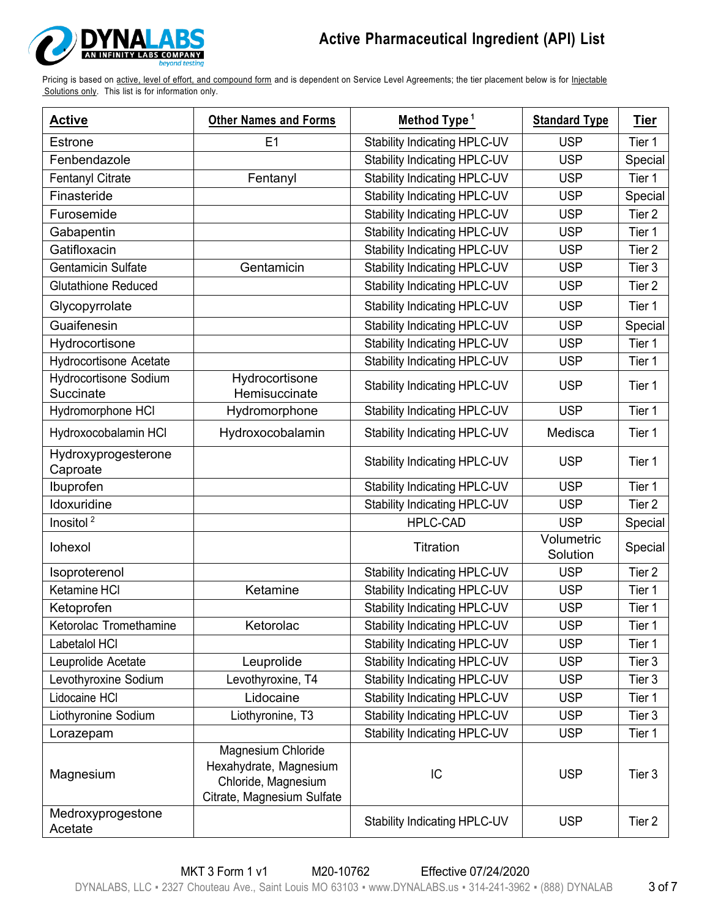

| <b>Active</b>                             | <b>Other Names and Forms</b>                                                                      | Method Type <sup>1</sup>            |                        | Tier              |
|-------------------------------------------|---------------------------------------------------------------------------------------------------|-------------------------------------|------------------------|-------------------|
| Estrone                                   | E <sub>1</sub>                                                                                    | <b>Stability Indicating HPLC-UV</b> | <b>USP</b>             | Tier 1            |
| Fenbendazole                              |                                                                                                   | <b>Stability Indicating HPLC-UV</b> | <b>USP</b>             | Special           |
| <b>Fentanyl Citrate</b>                   | Fentanyl                                                                                          | Stability Indicating HPLC-UV        | <b>USP</b>             | Tier 1            |
| Finasteride                               |                                                                                                   | Stability Indicating HPLC-UV        | <b>USP</b>             | Special           |
| Furosemide                                |                                                                                                   | Stability Indicating HPLC-UV        | <b>USP</b>             | Tier 2            |
| Gabapentin                                |                                                                                                   | Stability Indicating HPLC-UV        | <b>USP</b>             | Tier 1            |
| Gatifloxacin                              |                                                                                                   | Stability Indicating HPLC-UV        | <b>USP</b>             | Tier 2            |
| <b>Gentamicin Sulfate</b>                 | Gentamicin                                                                                        | Stability Indicating HPLC-UV        | <b>USP</b>             | Tier 3            |
| <b>Glutathione Reduced</b>                |                                                                                                   | Stability Indicating HPLC-UV        | <b>USP</b>             | Tier <sub>2</sub> |
| Glycopyrrolate                            |                                                                                                   | <b>Stability Indicating HPLC-UV</b> | <b>USP</b>             | Tier 1            |
| Guaifenesin                               |                                                                                                   | <b>Stability Indicating HPLC-UV</b> | <b>USP</b>             | Special           |
| Hydrocortisone                            |                                                                                                   | Stability Indicating HPLC-UV        | <b>USP</b>             | Tier 1            |
| <b>Hydrocortisone Acetate</b>             |                                                                                                   | <b>Stability Indicating HPLC-UV</b> | <b>USP</b>             | Tier 1            |
| <b>Hydrocortisone Sodium</b><br>Succinate | Hydrocortisone<br>Hemisuccinate                                                                   | Stability Indicating HPLC-UV        | <b>USP</b>             | Tier 1            |
| Hydromorphone HCI                         | Hydromorphone                                                                                     | Stability Indicating HPLC-UV        | <b>USP</b>             | Tier 1            |
| Hydroxocobalamin HCI                      | Hydroxocobalamin                                                                                  | Stability Indicating HPLC-UV        | Medisca                | Tier 1            |
| Hydroxyprogesterone<br>Caproate           |                                                                                                   | <b>Stability Indicating HPLC-UV</b> | <b>USP</b>             | Tier 1            |
| Ibuprofen                                 |                                                                                                   | <b>Stability Indicating HPLC-UV</b> | <b>USP</b>             | Tier 1            |
| Idoxuridine                               |                                                                                                   | Stability Indicating HPLC-UV        | <b>USP</b>             | Tier 2            |
| Inositol <sup>2</sup>                     |                                                                                                   | <b>HPLC-CAD</b>                     | <b>USP</b>             | Special           |
| lohexol                                   |                                                                                                   | Titration                           | Volumetric<br>Solution | Special           |
| Isoproterenol                             |                                                                                                   | Stability Indicating HPLC-UV        | <b>USP</b>             | Tier 2            |
| Ketamine HCI                              | Ketamine                                                                                          | Stability Indicating HPLC-UV        | <b>USP</b>             | Tier 1            |
| Ketoprofen                                |                                                                                                   | Stability Indicating HPLC-UV        | <b>USP</b>             | Tier 1            |
| Ketorolac Tromethamine                    | Ketorolac                                                                                         | Stability Indicating HPLC-UV        | <b>USP</b>             | Tier 1            |
| Labetalol HCI                             |                                                                                                   | Stability Indicating HPLC-UV        | <b>USP</b>             | Tier 1            |
| Leuprolide Acetate                        | Leuprolide                                                                                        | Stability Indicating HPLC-UV        | <b>USP</b>             | Tier 3            |
| Levothyroxine Sodium                      | Levothyroxine, T4                                                                                 | <b>Stability Indicating HPLC-UV</b> | <b>USP</b>             | Tier 3            |
| Lidocaine HCI                             | Lidocaine                                                                                         | <b>Stability Indicating HPLC-UV</b> | <b>USP</b>             | Tier 1            |
| Liothyronine Sodium                       | Liothyronine, T3                                                                                  | <b>Stability Indicating HPLC-UV</b> | <b>USP</b>             | Tier 3            |
| Lorazepam                                 |                                                                                                   | <b>Stability Indicating HPLC-UV</b> | <b>USP</b>             | Tier 1            |
| Magnesium                                 | Magnesium Chloride<br>Hexahydrate, Magnesium<br>Chloride, Magnesium<br>Citrate, Magnesium Sulfate | IC                                  | <b>USP</b>             | Tier 3            |
| Medroxyprogestone<br>Acetate              |                                                                                                   | <b>Stability Indicating HPLC-UV</b> | <b>USP</b>             | Tier 2            |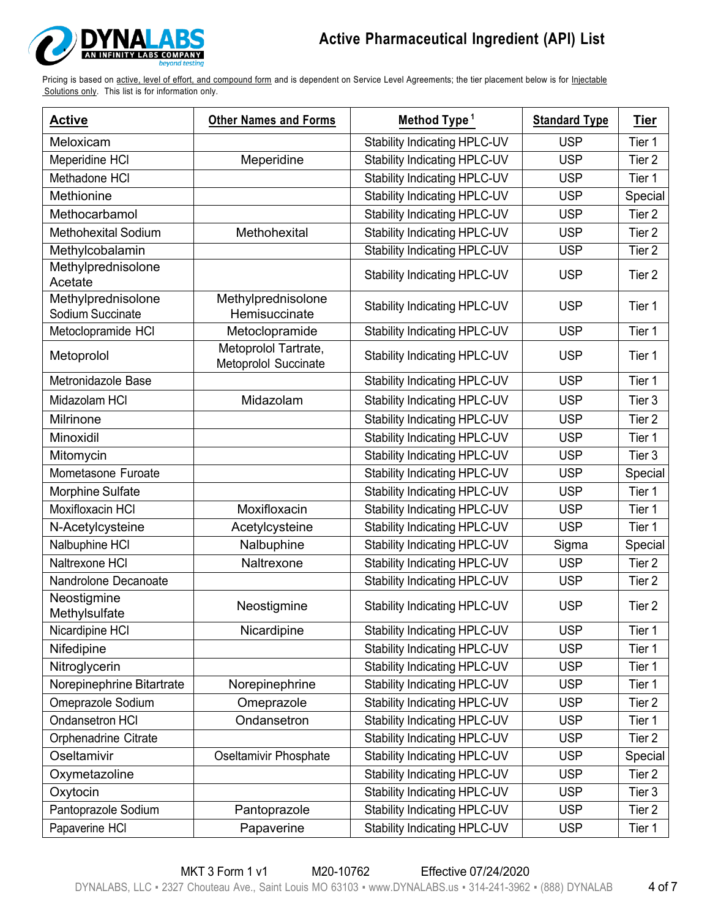

| <b>Active</b>                          | <b>Other Names and Forms</b>                 | Method Type <sup>1</sup>            | <b>Standard Type</b> | <b>Tier</b>       |
|----------------------------------------|----------------------------------------------|-------------------------------------|----------------------|-------------------|
| Meloxicam                              |                                              | Stability Indicating HPLC-UV        | <b>USP</b>           | Tier 1            |
| Meperidine HCI                         | Meperidine                                   | <b>Stability Indicating HPLC-UV</b> | <b>USP</b>           | Tier 2            |
| Methadone HCI                          |                                              | Stability Indicating HPLC-UV        | <b>USP</b>           | Tier 1            |
| Methionine                             |                                              | <b>Stability Indicating HPLC-UV</b> | <b>USP</b>           | Special           |
| Methocarbamol                          |                                              | Stability Indicating HPLC-UV        | <b>USP</b>           | Tier 2            |
| <b>Methohexital Sodium</b>             | Methohexital                                 | <b>Stability Indicating HPLC-UV</b> | <b>USP</b>           | Tier <sub>2</sub> |
| Methylcobalamin                        |                                              | <b>Stability Indicating HPLC-UV</b> | <b>USP</b>           | Tier 2            |
| Methylprednisolone<br>Acetate          |                                              | <b>Stability Indicating HPLC-UV</b> | <b>USP</b>           | Tier <sub>2</sub> |
| Methylprednisolone<br>Sodium Succinate | Methylprednisolone<br>Hemisuccinate          | <b>Stability Indicating HPLC-UV</b> | <b>USP</b>           | Tier 1            |
| Metoclopramide HCI                     | Metoclopramide                               | <b>Stability Indicating HPLC-UV</b> | <b>USP</b>           | Tier 1            |
| Metoprolol                             | Metoprolol Tartrate,<br>Metoprolol Succinate | <b>Stability Indicating HPLC-UV</b> | <b>USP</b>           | Tier 1            |
| Metronidazole Base                     |                                              | Stability Indicating HPLC-UV        | <b>USP</b>           | Tier 1            |
| Midazolam HCI                          | Midazolam                                    | <b>Stability Indicating HPLC-UV</b> | <b>USP</b>           | Tier 3            |
| Milrinone                              |                                              | <b>Stability Indicating HPLC-UV</b> | <b>USP</b>           | Tier 2            |
| Minoxidil                              |                                              | <b>Stability Indicating HPLC-UV</b> | <b>USP</b>           | Tier 1            |
| Mitomycin                              |                                              | Stability Indicating HPLC-UV        | <b>USP</b>           | Tier 3            |
| Mometasone Furoate                     |                                              | Stability Indicating HPLC-UV        | <b>USP</b>           | Special           |
| Morphine Sulfate                       |                                              | Stability Indicating HPLC-UV        | <b>USP</b>           | Tier 1            |
| Moxifloxacin HCI                       | Moxifloxacin                                 | Stability Indicating HPLC-UV        | <b>USP</b>           | Tier 1            |
| N-Acetylcysteine                       | Acetylcysteine                               | Stability Indicating HPLC-UV        | <b>USP</b>           | Tier 1            |
| Nalbuphine HCI                         | Nalbuphine                                   | Stability Indicating HPLC-UV        | Sigma                | Special           |
| Naltrexone HCI                         | Naltrexone                                   | <b>Stability Indicating HPLC-UV</b> | <b>USP</b>           | Tier 2            |
| Nandrolone Decanoate                   |                                              | Stability Indicating HPLC-UV        | <b>USP</b>           | Tier 2            |
| Neostigmine<br>Methylsulfate           | Neostigmine                                  | <b>Stability Indicating HPLC-UV</b> | <b>USP</b>           | Tier <sub>2</sub> |
| Nicardipine HCI                        | Nicardipine                                  | <b>Stability Indicating HPLC-UV</b> | <b>USP</b>           | Tier 1            |
| Nifedipine                             |                                              | Stability Indicating HPLC-UV        | <b>USP</b>           | Tier 1            |
| Nitroglycerin                          |                                              | Stability Indicating HPLC-UV        | <b>USP</b>           | Tier 1            |
| Norepinephrine Bitartrate              | Norepinephrine                               | Stability Indicating HPLC-UV        | <b>USP</b>           | Tier 1            |
| Omeprazole Sodium                      | Omeprazole                                   | Stability Indicating HPLC-UV        | <b>USP</b>           | Tier 2            |
| Ondansetron HCI                        | Ondansetron                                  | Stability Indicating HPLC-UV        | <b>USP</b>           | Tier 1            |
| Orphenadrine Citrate                   |                                              | Stability Indicating HPLC-UV        | <b>USP</b>           | Tier 2            |
| Oseltamivir                            | Oseltamivir Phosphate                        | Stability Indicating HPLC-UV        | <b>USP</b>           | Special           |
| Oxymetazoline                          |                                              | <b>Stability Indicating HPLC-UV</b> | <b>USP</b>           | Tier 2            |
| Oxytocin                               |                                              | <b>Stability Indicating HPLC-UV</b> | <b>USP</b>           | Tier 3            |
| Pantoprazole Sodium                    | Pantoprazole                                 | <b>Stability Indicating HPLC-UV</b> | <b>USP</b>           | Tier 2            |
| Papaverine HCI                         | Papaverine                                   | Stability Indicating HPLC-UV        | <b>USP</b>           | Tier 1            |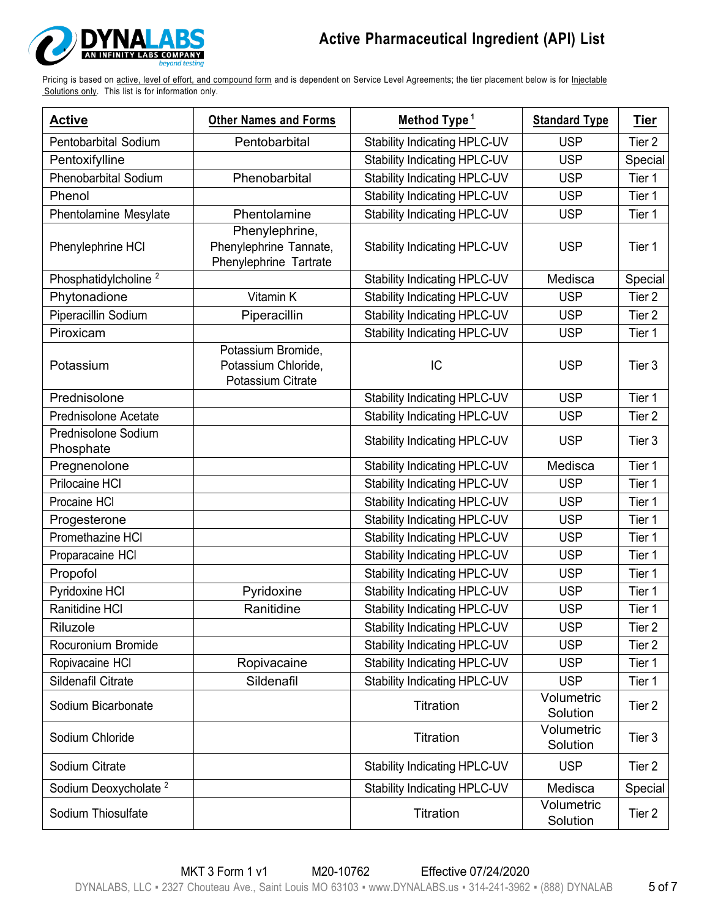

| <b>Active</b>                    | <b>Other Names and Forms</b>                                       | Method Type <sup>1</sup>            | <b>Standard Type</b>   | <u>Tier</u>       |
|----------------------------------|--------------------------------------------------------------------|-------------------------------------|------------------------|-------------------|
| Pentobarbital Sodium             | Pentobarbital                                                      | <b>Stability Indicating HPLC-UV</b> | <b>USP</b>             | Tier 2            |
| Pentoxifylline                   |                                                                    | Stability Indicating HPLC-UV        | <b>USP</b>             | Special           |
| <b>Phenobarbital Sodium</b>      | Phenobarbital                                                      | Stability Indicating HPLC-UV        | <b>USP</b>             | Tier 1            |
| Phenol                           |                                                                    | Stability Indicating HPLC-UV        | <b>USP</b>             | Tier 1            |
| Phentolamine Mesylate            | Phentolamine                                                       | <b>Stability Indicating HPLC-UV</b> | <b>USP</b>             | Tier 1            |
| Phenylephrine HCI                | Phenylephrine,<br>Phenylephrine Tannate,<br>Phenylephrine Tartrate | <b>Stability Indicating HPLC-UV</b> | <b>USP</b>             | Tier 1            |
| Phosphatidylcholine <sup>2</sup> |                                                                    | Stability Indicating HPLC-UV        | Medisca                | Special           |
| Phytonadione                     | Vitamin K                                                          | Stability Indicating HPLC-UV        | <b>USP</b>             | Tier 2            |
| Piperacillin Sodium              | Piperacillin                                                       | Stability Indicating HPLC-UV        | <b>USP</b>             | Tier <sub>2</sub> |
| Piroxicam                        |                                                                    | Stability Indicating HPLC-UV        | <b>USP</b>             | Tier 1            |
| Potassium                        | Potassium Bromide,<br>Potassium Chloride,<br>Potassium Citrate     | IC                                  | <b>USP</b>             | Tier <sub>3</sub> |
| Prednisolone                     |                                                                    | Stability Indicating HPLC-UV        | <b>USP</b>             | Tier 1            |
| Prednisolone Acetate             |                                                                    | <b>Stability Indicating HPLC-UV</b> | <b>USP</b>             | Tier 2            |
| Prednisolone Sodium<br>Phosphate |                                                                    | <b>Stability Indicating HPLC-UV</b> | <b>USP</b>             | Tier 3            |
| Pregnenolone                     |                                                                    | <b>Stability Indicating HPLC-UV</b> | Medisca                | Tier 1            |
| Prilocaine HCI                   |                                                                    | Stability Indicating HPLC-UV        | <b>USP</b>             | Tier 1            |
| Procaine HCI                     |                                                                    | Stability Indicating HPLC-UV        | <b>USP</b>             | Tier 1            |
| Progesterone                     |                                                                    | Stability Indicating HPLC-UV        | <b>USP</b>             | Tier 1            |
| Promethazine HCI                 |                                                                    | Stability Indicating HPLC-UV        | <b>USP</b>             | Tier 1            |
| Proparacaine HCI                 |                                                                    | Stability Indicating HPLC-UV        | <b>USP</b>             | Tier 1            |
| Propofol                         |                                                                    | Stability Indicating HPLC-UV        | <b>USP</b>             | Tier 1            |
| Pyridoxine HCI                   | Pyridoxine                                                         | Stability Indicating HPLC-UV        | <b>USP</b>             | Tier 1            |
| Ranitidine HCI                   | Ranitidine                                                         | Stability Indicating HPLC-UV        | <b>USP</b>             | Tier 1            |
| Riluzole                         |                                                                    | Stability Indicating HPLC-UV        | <b>USP</b>             | Tier 2            |
| Rocuronium Bromide               |                                                                    | Stability Indicating HPLC-UV        | <b>USP</b>             | Tier 2            |
| Ropivacaine HCI                  | Ropivacaine                                                        | <b>Stability Indicating HPLC-UV</b> | <b>USP</b>             | Tier 1            |
| Sildenafil Citrate               | Sildenafil                                                         | Stability Indicating HPLC-UV        | <b>USP</b>             | Tier 1            |
| Sodium Bicarbonate               |                                                                    | Titration                           | Volumetric<br>Solution | Tier <sub>2</sub> |
| Sodium Chloride                  |                                                                    | Titration                           | Volumetric<br>Solution | Tier 3            |
| Sodium Citrate                   |                                                                    | <b>Stability Indicating HPLC-UV</b> | <b>USP</b>             | Tier 2            |
| Sodium Deoxycholate <sup>2</sup> |                                                                    | <b>Stability Indicating HPLC-UV</b> | Medisca                | Special           |
| Sodium Thiosulfate               |                                                                    | Titration                           | Volumetric<br>Solution | Tier 2            |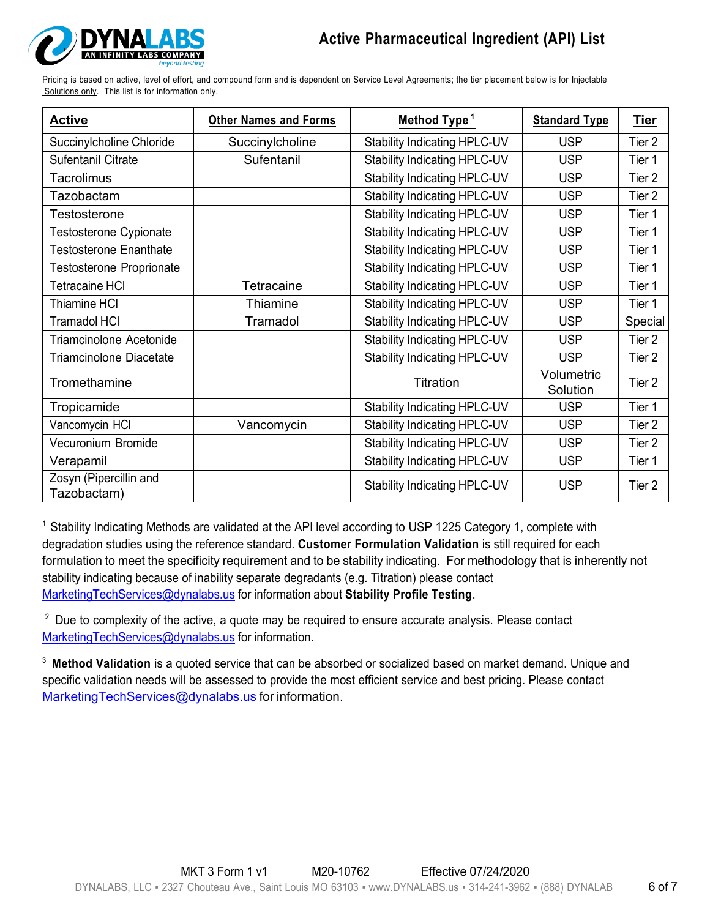

Pricing is based on active, level of effort, and compound form and is dependent on Service Level Agreements; the tier placement below is for Injectable Solutions only. This list is for information only.

| <b>Active</b>                         | <b>Other Names and Forms</b> | Method Type <sup>1</sup>            | <b>Standard Type</b>   | <u>Tier</u>       |
|---------------------------------------|------------------------------|-------------------------------------|------------------------|-------------------|
| Succinylcholine Chloride              | Succinylcholine              | Stability Indicating HPLC-UV        | <b>USP</b>             | Tier 2            |
| Sufentanil Citrate                    | Sufentanil                   | Stability Indicating HPLC-UV        | <b>USP</b>             | Tier 1            |
| Tacrolimus                            |                              | <b>Stability Indicating HPLC-UV</b> | <b>USP</b>             | Tier 2            |
| Tazobactam                            |                              | Stability Indicating HPLC-UV        | <b>USP</b>             | Tier <sub>2</sub> |
| Testosterone                          |                              | Stability Indicating HPLC-UV        | <b>USP</b>             | Tier 1            |
| Testosterone Cypionate                |                              | Stability Indicating HPLC-UV        | <b>USP</b>             | Tier 1            |
| <b>Testosterone Enanthate</b>         |                              | <b>Stability Indicating HPLC-UV</b> | <b>USP</b>             | Tier 1            |
| <b>Testosterone Proprionate</b>       |                              | Stability Indicating HPLC-UV        | <b>USP</b>             | Tier 1            |
| <b>Tetracaine HCI</b>                 | Tetracaine                   | Stability Indicating HPLC-UV        | <b>USP</b>             | Tier 1            |
| <b>Thiamine HCI</b>                   | Thiamine                     | Stability Indicating HPLC-UV        | <b>USP</b>             | Tier 1            |
| <b>Tramadol HCI</b>                   | Tramadol                     | Stability Indicating HPLC-UV        | <b>USP</b>             | Special           |
| <b>Triamcinolone Acetonide</b>        |                              | <b>Stability Indicating HPLC-UV</b> | <b>USP</b>             | Tier 2            |
| <b>Triamcinolone Diacetate</b>        |                              | Stability Indicating HPLC-UV        | <b>USP</b>             | Tier 2            |
| Tromethamine                          |                              | <b>Titration</b>                    | Volumetric<br>Solution | Tier <sub>2</sub> |
| Tropicamide                           |                              | Stability Indicating HPLC-UV        | <b>USP</b>             | Tier 1            |
| Vancomycin HCI                        | Vancomycin                   | Stability Indicating HPLC-UV        | <b>USP</b>             | Tier <sub>2</sub> |
| Vecuronium Bromide                    |                              | <b>Stability Indicating HPLC-UV</b> | <b>USP</b>             | Tier 2            |
| Verapamil                             |                              | Stability Indicating HPLC-UV        | <b>USP</b>             | Tier 1            |
| Zosyn (Pipercillin and<br>Tazobactam) |                              | Stability Indicating HPLC-UV        | <b>USP</b>             | Tier <sub>2</sub> |

<sup>1</sup> Stability Indicating Methods are validated at the API level according to USP 1225 Category 1, complete with degradation studies using the reference standard. **Customer Formulation Validation** is still required for each formulation to meet the specificity requirement and to be stability indicating. For methodology that is inherently not stability indicating because of inability separate degradants (e.g. Titration) please contact MarketingTechServices@dynalabs.us for information about **Stability Profile Testing**.

 $2$  Due to complexity of the active, a quote may be required to ensure accurate analysis. Please contact MarketingTechServices@dynalabs.us for information.

<sup>3</sup> **Method Validation** is a quoted service that can be absorbed or socialized based on market demand. Unique and specific validation needs will be assessed to provide the most efficient service and best pricing. Please contact MarketingTechServices@dynalabs.us for information.